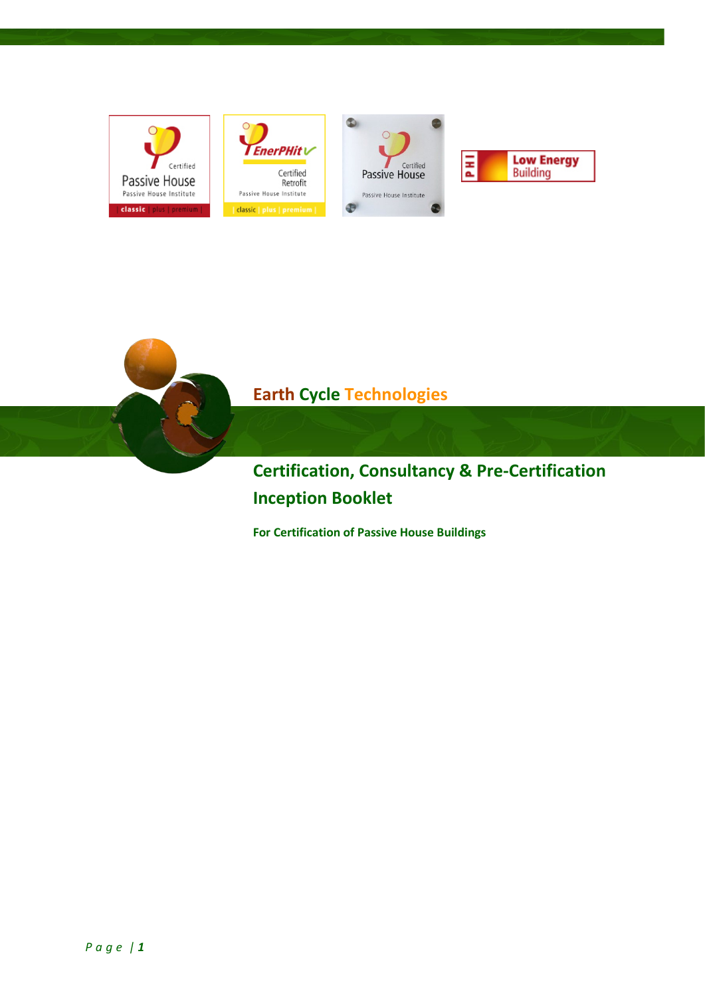









## **Earth Cycle Technologies**

**Certification, Consultancy & Pre-Certification Inception Booklet**

**For Certification of Passive House Buildings**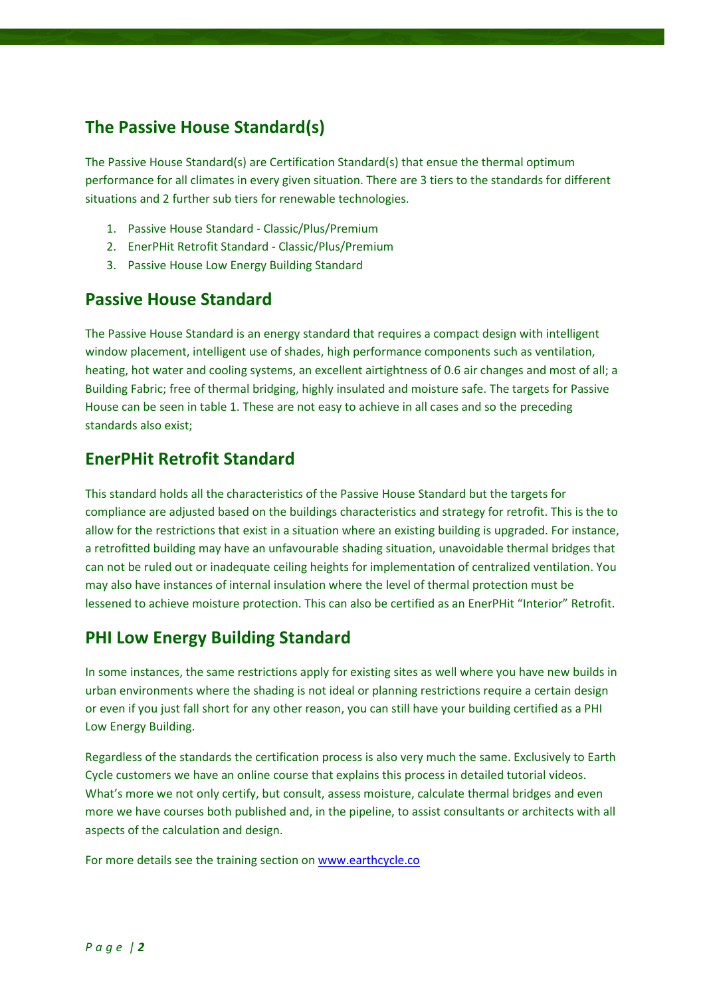### **The Passive House Standard(s)**

The Passive House Standard(s) are Certification Standard(s) that ensue the thermal optimum performance for all climates in every given situation. There are 3 tiers to the standards for different situations and 2 further sub tiers for renewable technologies.

- 1. Passive House Standard Classic/Plus/Premium
- 2. EnerPHit Retrofit Standard Classic/Plus/Premium
- 3. Passive House Low Energy Building Standard

#### **Passive House Standard**

The Passive House Standard is an energy standard that requires a compact design with intelligent window placement, intelligent use of shades, high performance components such as ventilation, heating, hot water and cooling systems, an excellent airtightness of 0.6 air changes and most of all; a Building Fabric; free of thermal bridging, highly insulated and moisture safe. The targets for Passive House can be seen in table 1. These are not easy to achieve in all cases and so the preceding standards also exist;

#### **EnerPHit Retrofit Standard**

This standard holds all the characteristics of the Passive House Standard but the targets for compliance are adjusted based on the buildings characteristics and strategy for retrofit. This is the to allow for the restrictions that exist in a situation where an existing building is upgraded. For instance, a retrofitted building may have an unfavourable shading situation, unavoidable thermal bridges that can not be ruled out or inadequate ceiling heights for implementation of centralized ventilation. You may also have instances of internal insulation where the level of thermal protection must be lessened to achieve moisture protection. This can also be certified as an EnerPHit "Interior" Retrofit.

#### **PHI Low Energy Building Standard**

In some instances, the same restrictions apply for existing sites as well where you have new builds in urban environments where the shading is not ideal or planning restrictions require a certain design or even if you just fall short for any other reason, you can still have your building certified as a PHI Low Energy Building.

Regardless of the standards the certification process is also very much the same. Exclusively to Earth Cycle customers we have an online course that explains this process in detailed tutorial videos. What's more we not only certify, but consult, assess moisture, calculate thermal bridges and even more we have courses both published and, in the pipeline, to assist consultants or architects with all aspects of the calculation and design.

For more details see the training section o[n www.earthcycle.co](http://www.earthcycle.co/)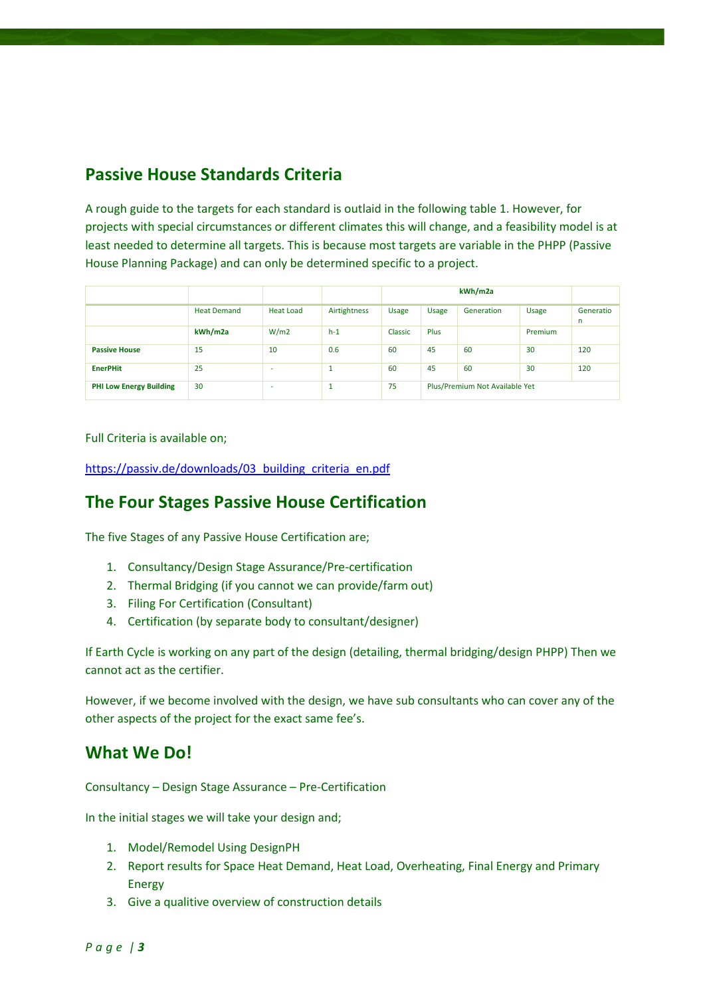### **Passive House Standards Criteria**

A rough guide to the targets for each standard is outlaid in the following table 1. However, for projects with special circumstances or different climates this will change, and a feasibility model is at least needed to determine all targets. This is because most targets are variable in the PHPP (Passive House Planning Package) and can only be determined specific to a project.

|                                |                    |                  |              | kWh/m2a      |                                |            |              |                |
|--------------------------------|--------------------|------------------|--------------|--------------|--------------------------------|------------|--------------|----------------|
|                                | <b>Heat Demand</b> | <b>Heat Load</b> | Airtightness | <b>Usage</b> | <b>Usage</b>                   | Generation | <b>Usage</b> | Generatio<br>n |
|                                | kWh/m2a            | W/m2             | $h-1$        | Classic      | Plus                           |            | Premium      |                |
| <b>Passive House</b>           | 15                 | 10               | 0.6          | 60           | 45                             | 60         | 30           | 120            |
| <b>EnerPHit</b>                | 25                 | ۰                | a.           | 60           | 45                             | 60         | 30           | 120            |
| <b>PHI Low Energy Building</b> | 30                 | ۰                | л.           | 75           | Plus/Premium Not Available Yet |            |              |                |

Full Criteria is available on;

[https://passiv.de/downloads/03\\_building\\_criteria\\_en.pdf](https://passiv.de/downloads/03_building_criteria_en.pdf)

#### **The Four Stages Passive House Certification**

The five Stages of any Passive House Certification are;

- 1. Consultancy/Design Stage Assurance/Pre-certification
- 2. Thermal Bridging (if you cannot we can provide/farm out)
- 3. Filing For Certification (Consultant)
- 4. Certification (by separate body to consultant/designer)

If Earth Cycle is working on any part of the design (detailing, thermal bridging/design PHPP) Then we cannot act as the certifier.

However, if we become involved with the design, we have sub consultants who can cover any of the other aspects of the project for the exact same fee's.

#### **What We Do!**

Consultancy – Design Stage Assurance – Pre-Certification

In the initial stages we will take your design and;

- 1. Model/Remodel Using DesignPH
- 2. Report results for Space Heat Demand, Heat Load, Overheating, Final Energy and Primary Energy
- 3. Give a qualitive overview of construction details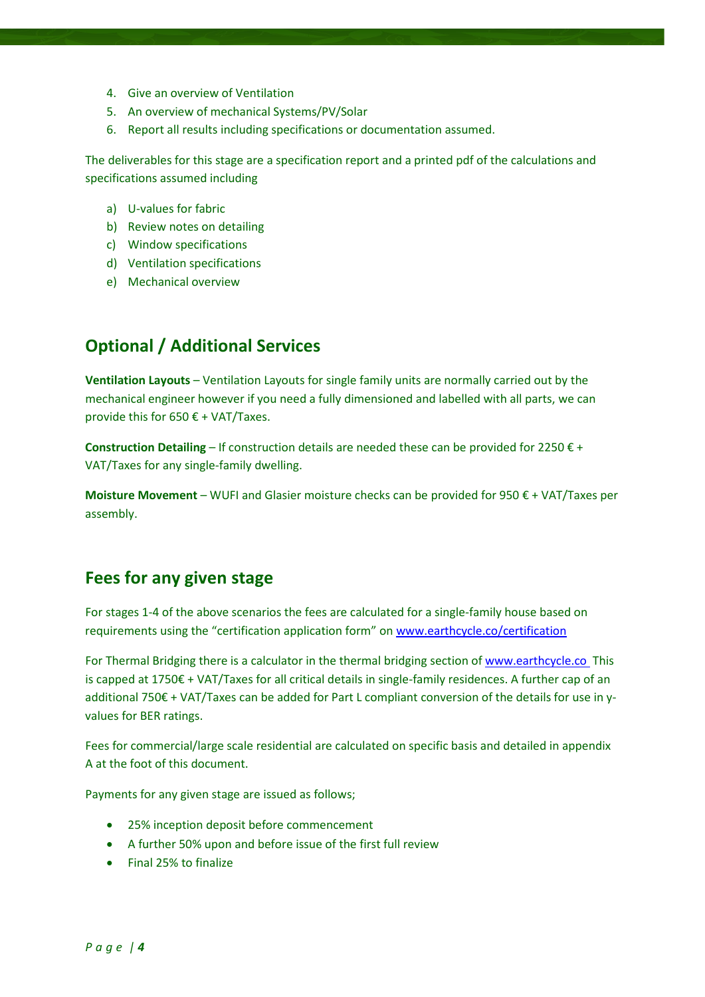- 4. Give an overview of Ventilation
- 5. An overview of mechanical Systems/PV/Solar
- 6. Report all results including specifications or documentation assumed.

The deliverables for this stage are a specification report and a printed pdf of the calculations and specifications assumed including

- a) U-values for fabric
- b) Review notes on detailing
- c) Window specifications
- d) Ventilation specifications
- e) Mechanical overview

#### **Optional / Additional Services**

**Ventilation Layouts** – Ventilation Layouts for single family units are normally carried out by the mechanical engineer however if you need a fully dimensioned and labelled with all parts, we can provide this for  $650 \text{ } \in$  + VAT/Taxes.

**Construction Detailing** – If construction details are needed these can be provided for 2250 € + VAT/Taxes for any single-family dwelling.

**Moisture Movement** – WUFI and Glasier moisture checks can be provided for 950 € + VAT/Taxes per assembly.

#### **Fees for any given stage**

For stages 1-4 of the above scenarios the fees are calculated for a single-family house based on requirements using the "certification application form" o[n www.earthcycle.co/certification](http://www.earthcycle.co/certification)

For Thermal Bridging there is a calculator in the thermal bridging section o[f www.earthcycle.co](http://www.earthcycle.co/) This is capped at 1750€ + VAT/Taxes for all critical details in single-family residences. A further cap of an additional 750€ + VAT/Taxes can be added for Part L compliant conversion of the details for use in yvalues for BER ratings.

Fees for commercial/large scale residential are calculated on specific basis and detailed in appendix A at the foot of this document.

Payments for any given stage are issued as follows;

- 25% inception deposit before commencement
- A further 50% upon and before issue of the first full review
- Final 25% to finalize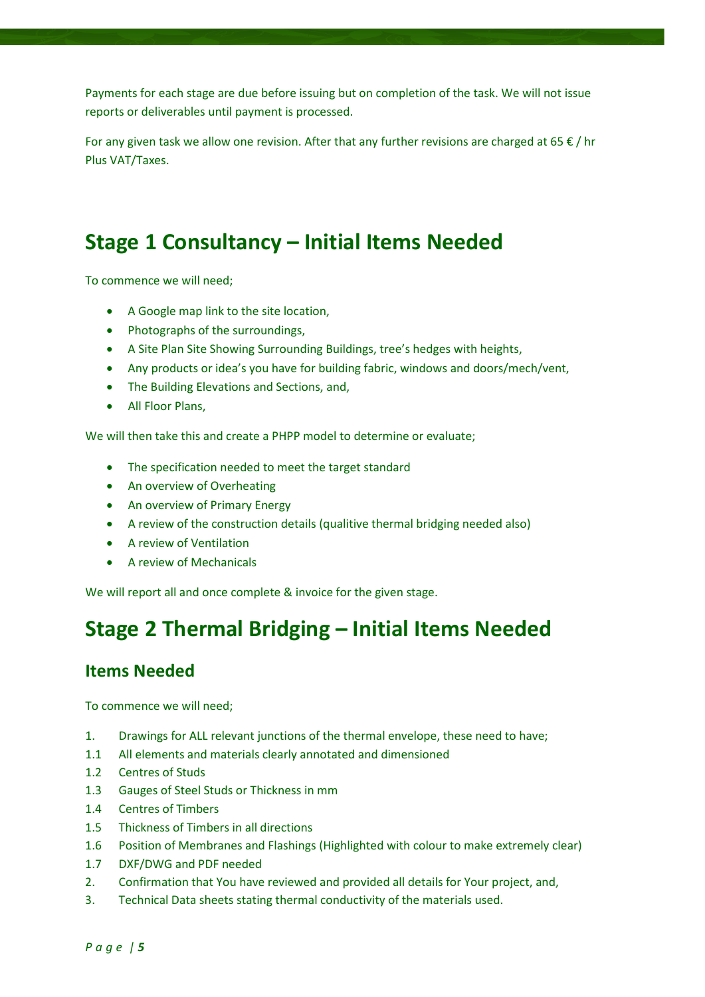Payments for each stage are due before issuing but on completion of the task. We will not issue reports or deliverables until payment is processed.

For any given task we allow one revision. After that any further revisions are charged at 65  $\epsilon$  / hr Plus VAT/Taxes.

# **Stage 1 Consultancy – Initial Items Needed**

To commence we will need;

- A Google map link to the site location,
- Photographs of the surroundings,
- A Site Plan Site Showing Surrounding Buildings, tree's hedges with heights,
- Any products or idea's you have for building fabric, windows and doors/mech/vent,
- The Building Elevations and Sections, and,
- All Floor Plans,

We will then take this and create a PHPP model to determine or evaluate;

- The specification needed to meet the target standard
- An overview of Overheating
- An overview of Primary Energy
- A review of the construction details (qualitive thermal bridging needed also)
- A review of Ventilation
- A review of Mechanicals

We will report all and once complete & invoice for the given stage.

# **Stage 2 Thermal Bridging – Initial Items Needed**

#### **Items Needed**

To commence we will need;

- 1. Drawings for ALL relevant junctions of the thermal envelope, these need to have;
- 1.1 All elements and materials clearly annotated and dimensioned
- 1.2 Centres of Studs
- 1.3 Gauges of Steel Studs or Thickness in mm
- 1.4 Centres of Timbers
- 1.5 Thickness of Timbers in all directions
- 1.6 Position of Membranes and Flashings (Highlighted with colour to make extremely clear)
- 1.7 DXF/DWG and PDF needed
- 2. Confirmation that You have reviewed and provided all details for Your project, and,
- 3. Technical Data sheets stating thermal conductivity of the materials used.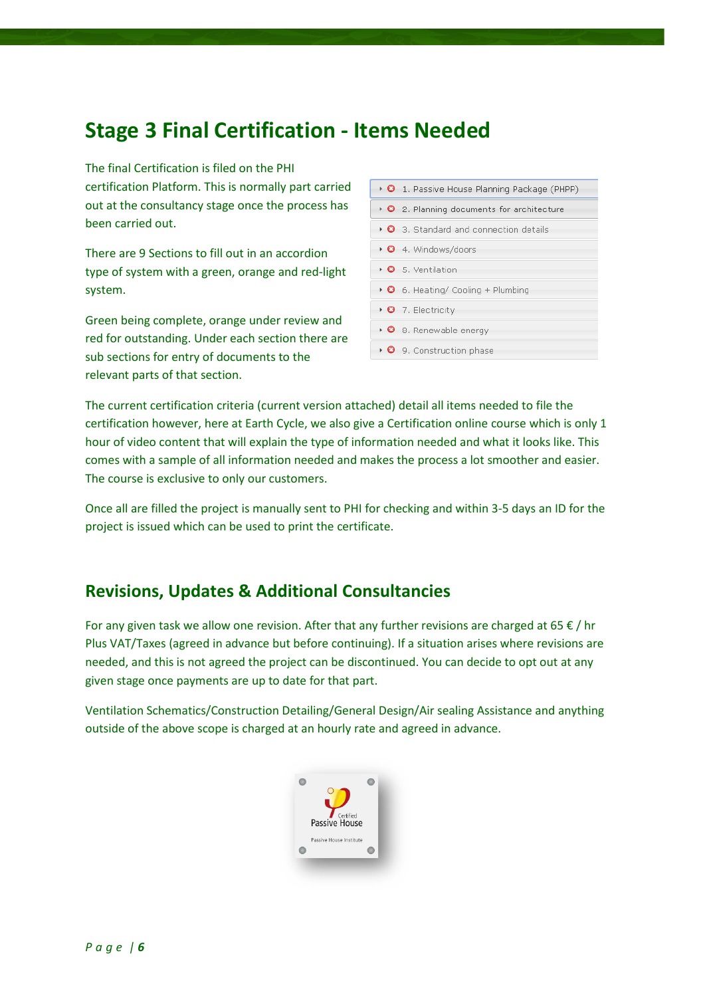# **Stage 3 Final Certification - Items Needed**

The final Certification is filed on the PHI certification Platform. This is normally part carried out at the consultancy stage once the process has been carried out.

There are 9 Sections to fill out in an accordion type of system with a green, orange and red-light system.

Green being complete, orange under review and red for outstanding. Under each section there are sub sections for entry of documents to the relevant parts of that section.

| ▶ <b>◎</b> 1. Passive House Planning Package (PHPP)      |
|----------------------------------------------------------|
| $\triangleright$ 3. Planning documents for architecture  |
| $\triangleright$ 0 3. Standard and connection details    |
| • <b>O</b> 4. Windows/doors                              |
| $\triangleright$ 8 5. Ventilation                        |
| $\triangleright$ <b>0</b> 6. Heating/ Cooling + Plumbing |
| $\triangleright$ <b>0</b> 7. Electricity                 |
| $\cdot$ 3. Renewable energy                              |
| $\triangleright$ <b>0</b> 9. Construction phase          |

The current certification criteria (current version attached) detail all items needed to file the certification however, here at Earth Cycle, we also give a Certification online course which is only 1 hour of video content that will explain the type of information needed and what it looks like. This comes with a sample of all information needed and makes the process a lot smoother and easier. The course is exclusive to only our customers.

Once all are filled the project is manually sent to PHI for checking and within 3-5 days an ID for the project is issued which can be used to print the certificate.

#### **Revisions, Updates & Additional Consultancies**

For any given task we allow one revision. After that any further revisions are charged at 65  $\epsilon$  / hr Plus VAT/Taxes (agreed in advance but before continuing). If a situation arises where revisions are needed, and this is not agreed the project can be discontinued. You can decide to opt out at any given stage once payments are up to date for that part.

Ventilation Schematics/Construction Detailing/General Design/Air sealing Assistance and anything outside of the above scope is charged at an hourly rate and agreed in advance.

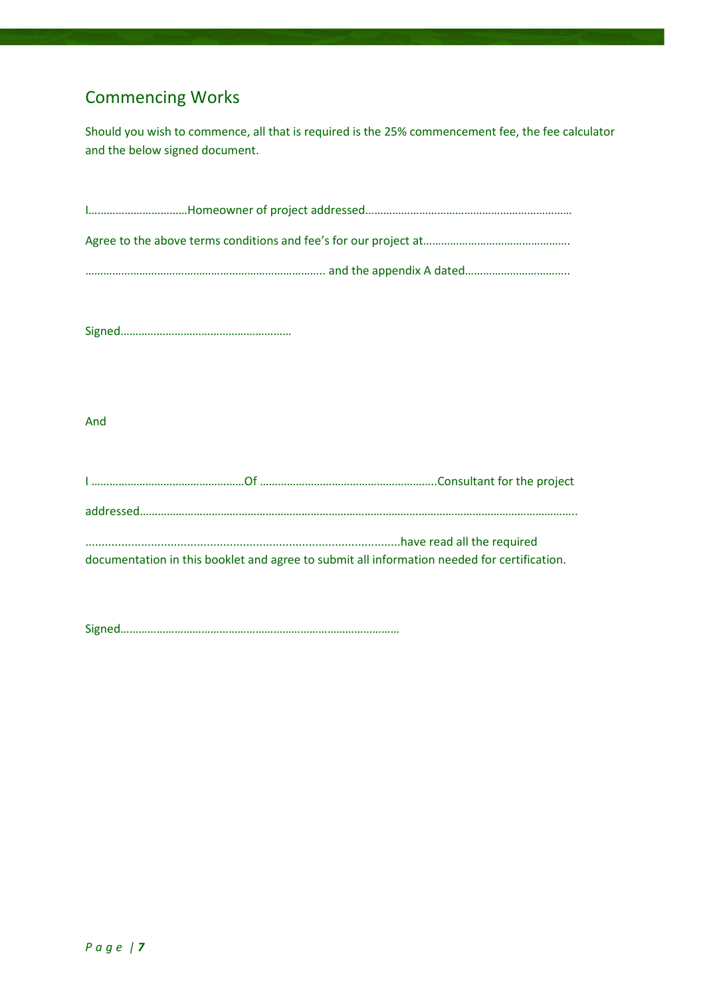## Commencing Works

Should you wish to commence, all that is required is the 25% commencement fee, the fee calculator and the below signed document.

Signed…………………………………………………

And

|  | documentation in this booklet and agree to submit all information needed for certification. |
|--|---------------------------------------------------------------------------------------------|

Signed…………………………………………………………………………………